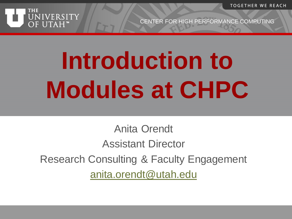**TOGETHER WE REACH** 



CENTER FOR HIGH PERFORMANCE COMPUTING

# **Introduction to Modules at CHPC**

Anita Orendt Assistant Director Research Consulting & Faculty Engagement [anita.orendt@utah.edu](mailto:anita.orendt@utah.edu)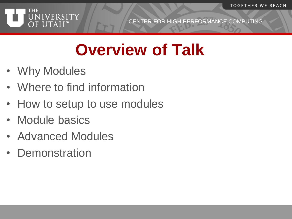

# **Overview of Talk**

- Why Modules
- Where to find information
- How to setup to use modules
- Module basics
- Advanced Modules
- Demonstration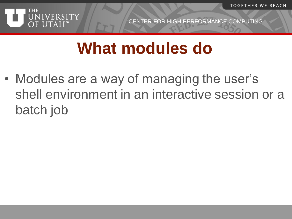**TOGETHER WE REACH** 



CENTER FOR HIGH PERFORMANCE COMPUTING

# **What modules do**

• Modules are a way of managing the user's shell environment in an interactive session or a batch job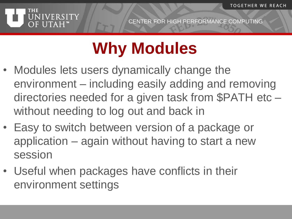

# **Why Modules**

- Modules lets users dynamically change the environment – including easily adding and removing directories needed for a given task from \$PATH etc – without needing to log out and back in
- Easy to switch between version of a package or application – again without having to start a new session
- Useful when packages have conflicts in their environment settings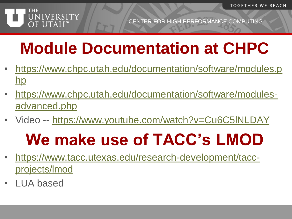

# **Module Documentation at CHPC**

- [https://www.chpc.utah.edu/documentation/software/modules.p](https://www.chpc.utah.edu/documentation/software/modules.php) hp
- [https://www.chpc.utah.edu/documentation/software/modules](https://www.chpc.utah.edu/documentation/software/modules-advanced.php)advanced.php
- Video -- https://www.youtube.com/watch?v=Cu6C5INLDAY

# **We make use of TACC's LMOD**

- [https://www.tacc.utexas.edu/research-development/tacc](https://www.tacc.utexas.edu/research-development/tacc-projects/lmod)projects/lmod
- LUA based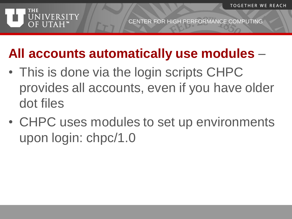

#### **All accounts automatically use modules** –

- This is done via the login scripts CHPC provides all accounts, even if you have older dot files
- CHPC uses modules to set up environments upon login: chpc/1.0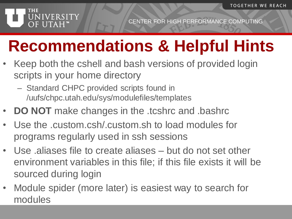

# **Recommendations & Helpful Hints**

- Keep both the cshell and bash versions of provided login scripts in your home directory
	- Standard CHPC provided scripts found in /uufs/chpc.utah.edu/sys/modulefiles/templates
- **DO NOT** make changes in the .tcshrc and .bashrc
- Use the .custom.csh/.custom.sh to load modules for programs regularly used in ssh sessions
- Use .aliases file to create aliases but do not set other environment variables in this file; if this file exists it will be sourced during login
- Module spider (more later) is easiest way to search for modules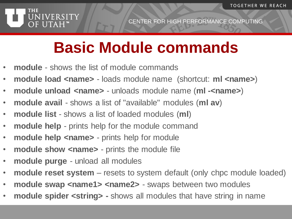

# **Basic Module commands**

- **module** shows the list of module commands
- **module load <name>**  loads module name (shortcut: **ml <name>**)
- **module unload <name>**  unloads module name (**ml -<name>**)
- **module avail**  shows a list of "available" modules (**ml av**)
- **module list**  shows a list of loaded modules (**ml**)
- **module help**  prints help for the module command
- **module help <name>** prints help for module
- **module show <name>** prints the module file
- **module purge**  unload all modules
- **module reset system**  resets to system default (only chpc module loaded)
- module swap <name1> <name2> swaps between two modules
- **module spider <string> -** shows all modules that have string in name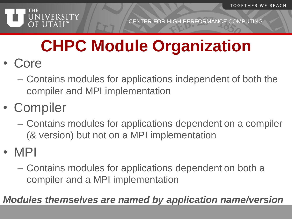

# **CHPC Module Organization**

- Core
	- Contains modules for applications independent of both the compiler and MPI implementation
- Compiler
	- Contains modules for applications dependent on a compiler (& version) but not on a MPI implementation
- MPI
	- Contains modules for applications dependent on both a compiler and a MPI implementation

*Modules themselves are named by application name/version*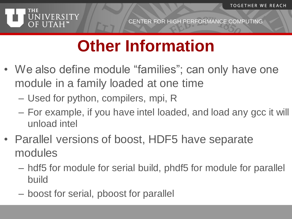

# **Other Information**

- We also define module "families"; can only have one module in a family loaded at one time
	- Used for python, compilers, mpi, R
	- For example, if you have intel loaded, and load any gcc it will unload intel
- Parallel versions of boost, HDF5 have separate modules
	- hdf5 for module for serial build, phdf5 for module for parallel build
	- boost for serial, pboost for parallel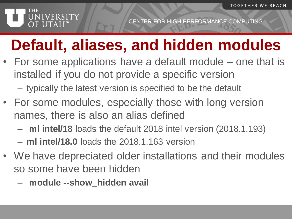#### **THE** NIVERSITY OF UTAH"

### **Default, aliases, and hidden modules**

- For some applications have a default module one that is installed if you do not provide a specific version
	- typically the latest version is specified to be the default
- For some modules, especially those with long version names, there is also an alias defined
	- **ml intel/18** loads the default 2018 intel version (2018.1.193)
	- **ml intel/18.0** loads the 2018.1.163 version
- We have depreciated older installations and their modules so some have been hidden
	- **module --show\_hidden avail**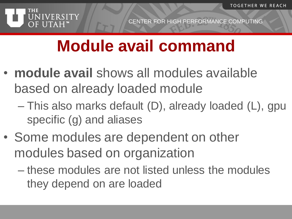

# **Module avail command**

- **module avail** shows all modules available based on already loaded module
	- This also marks default (D), already loaded (L), gpu specific (g) and aliases
- Some modules are dependent on other modules based on organization
	- these modules are not listed unless the modules they depend on are loaded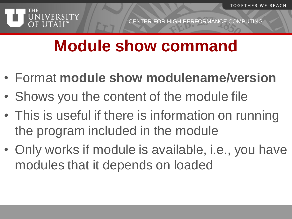

#### **Module show command**

- Format **module show modulename/version**
- Shows you the content of the module file
- This is useful if there is information on running the program included in the module
- Only works if module is available, i.e., you have modules that it depends on loaded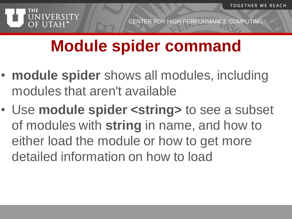

# **Module spider command**

- **module spider** shows all modules, including modules that aren't available
- Use **module spider <string>** to see a subset of modules with **string** in name, and how to either load the module or how to get more detailed information on how to load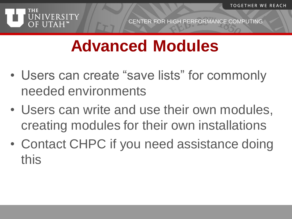

# **Advanced Modules**

- Users can create "save lists" for commonly needed environments
- Users can write and use their own modules, creating modules for their own installations
- Contact CHPC if you need assistance doing this